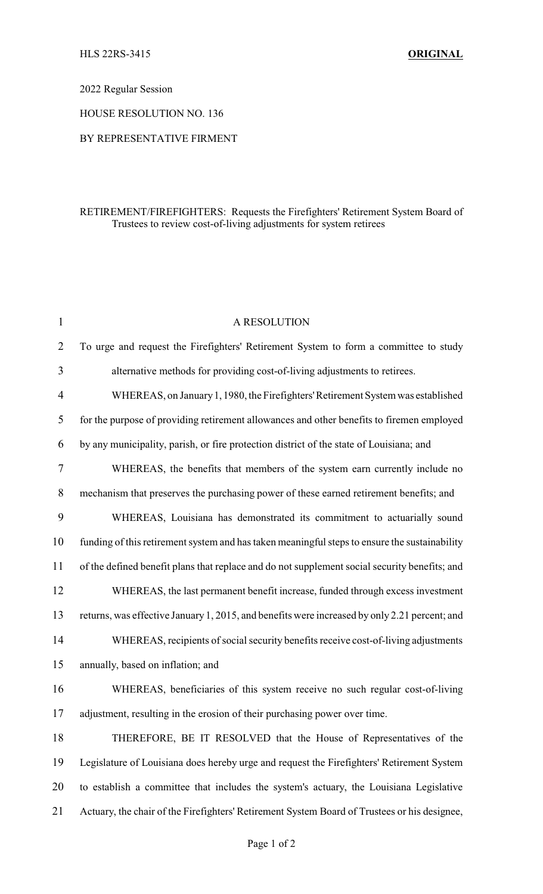## HLS 22RS-3415 **ORIGINAL**

# 2022 Regular Session

HOUSE RESOLUTION NO. 136

#### BY REPRESENTATIVE FIRMENT

## RETIREMENT/FIREFIGHTERS: Requests the Firefighters' Retirement System Board of Trustees to review cost-of-living adjustments for system retirees

| $\mathbf{1}$ | A RESOLUTION                                                                                  |
|--------------|-----------------------------------------------------------------------------------------------|
| 2            | To urge and request the Firefighters' Retirement System to form a committee to study          |
| 3            | alternative methods for providing cost-of-living adjustments to retirees.                     |
| 4            | WHEREAS, on January 1, 1980, the Firefighters' Retirement System was established              |
| 5            | for the purpose of providing retirement allowances and other benefits to firemen employed     |
| 6            | by any municipality, parish, or fire protection district of the state of Louisiana; and       |
| 7            | WHEREAS, the benefits that members of the system earn currently include no                    |
| 8            | mechanism that preserves the purchasing power of these earned retirement benefits; and        |
| 9            | WHEREAS, Louisiana has demonstrated its commitment to actuarially sound                       |
| 10           | funding of this retirement system and has taken meaningful steps to ensure the sustainability |
| 11           | of the defined benefit plans that replace and do not supplement social security benefits; and |
| 12           | WHEREAS, the last permanent benefit increase, funded through excess investment                |
| 13           | returns, was effective January 1, 2015, and benefits were increased by only 2.21 percent; and |
| 14           | WHEREAS, recipients of social security benefits receive cost-of-living adjustments            |
| 15           | annually, based on inflation; and                                                             |
| 16           | WHEREAS, beneficiaries of this system receive no such regular cost-of-living                  |
| 17           | adjustment, resulting in the erosion of their purchasing power over time.                     |
| 18           | THEREFORE, BE IT RESOLVED that the House of Representatives of the                            |
| 19           | Legislature of Louisiana does hereby urge and request the Firefighters' Retirement System     |
| 20           | to establish a committee that includes the system's actuary, the Louisiana Legislative        |
| 21           | Actuary, the chair of the Firefighters' Retirement System Board of Trustees or his designee,  |